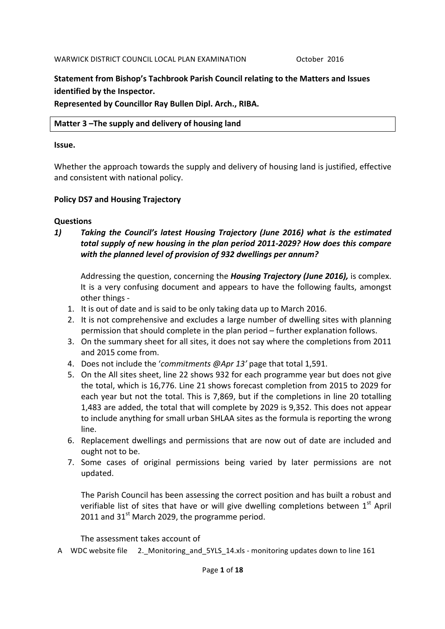# **Statement from Bishop's Tachbrook Parish Council relating to the Matters and Issues identified by the Inspector.**

#### **Represented by Councillor Ray Bullen Dipl. Arch., RIBA.**

#### **Matter 3** –The supply and delivery of housing land

#### **Issue.**

Whether the approach towards the supply and delivery of housing land is justified, effective and consistent with national policy.

#### **Policy DS7 and Housing Trajectory**

#### **Questions**

1) Taking the Council's latest Housing Trajectory (June 2016) what is the estimated *total supply of new housing in the plan period 2011-2029? How does this compare* with the planned level of provision of 932 dwellings per annum?

Addressing the question, concerning the **Housing Trajectory (June 2016)**, is complex. It is a very confusing document and appears to have the following faults, amongst other things -

- 1. It is out of date and is said to be only taking data up to March 2016.
- 2. It is not comprehensive and excludes a large number of dwelling sites with planning permission that should complete in the plan period – further explanation follows.
- 3. On the summary sheet for all sites, it does not say where the completions from 2011 and 2015 come from.
- 4. Does not include the 'commitments @Apr 13' page that total 1,591.
- 5. On the All sites sheet, line 22 shows 932 for each programme year but does not give the total, which is 16,776. Line 21 shows forecast completion from 2015 to 2029 for each year but not the total. This is 7,869, but if the completions in line 20 totalling 1,483 are added, the total that will complete by 2029 is 9,352. This does not appear to include anything for small urban SHLAA sites as the formula is reporting the wrong line.
- 6. Replacement dwellings and permissions that are now out of date are included and ought not to be.
- 7. Some cases of original permissions being varied by later permissions are not updated.

The Parish Council has been assessing the correct position and has built a robust and verifiable list of sites that have or will give dwelling completions between  $1<sup>st</sup>$  April 2011 and  $31<sup>st</sup>$  March 2029, the programme period.

The assessment takes account of

A WDC website file 2. Monitoring\_and\_5YLS\_14.xls - monitoring updates down to line 161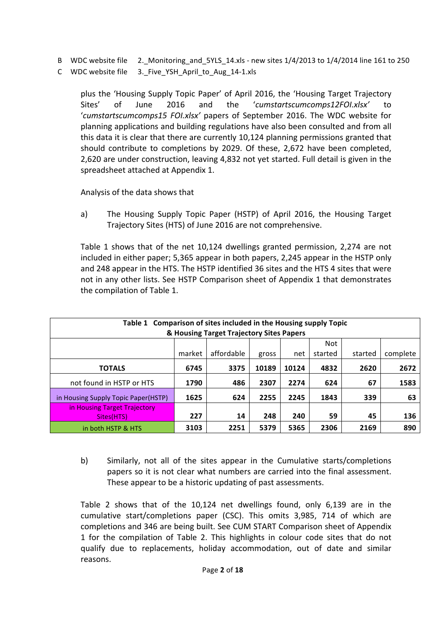- B WDC website file 2. Monitoring and 5YLS 14.xls new sites  $1/4/2013$  to  $1/4/2014$  line 161 to 250
- C WDC website file 3. Five YSH April to Aug 14-1.xls

plus the 'Housing Supply Topic Paper' of April 2016, the 'Housing Target Trajectory Sites' of June 2016 and the '*cumstartscumcomps12FOI.xlsx'* to '*cumstartscumcomps15 FOI.xlsx'* papers of September 2016. The WDC website for planning applications and building regulations have also been consulted and from all this data it is clear that there are currently 10,124 planning permissions granted that should contribute to completions by 2029. Of these, 2,672 have been completed, 2,620 are under construction, leaving 4,832 not yet started. Full detail is given in the spreadsheet attached at Appendix 1.

Analysis of the data shows that

a) The Housing Supply Topic Paper (HSTP) of April 2016, the Housing Target Trajectory Sites (HTS) of June 2016 are not comprehensive.

Table 1 shows that of the net 10,124 dwellings granted permission, 2,274 are not included in either paper;  $5,365$  appear in both papers,  $2,245$  appear in the HSTP only and 248 appear in the HTS. The HSTP identified 36 sites and the HTS 4 sites that were not in any other lists. See HSTP Comparison sheet of Appendix 1 that demonstrates the compilation of Table 1.

| Table 1 Comparison of sites included in the Housing supply Topic<br>& Housing Target Trajectory Sites Papers |        |            |       |       |         |         |          |  |  |
|--------------------------------------------------------------------------------------------------------------|--------|------------|-------|-------|---------|---------|----------|--|--|
| Not                                                                                                          |        |            |       |       |         |         |          |  |  |
|                                                                                                              | market | affordable | gross | net   | started | started | complete |  |  |
| <b>TOTALS</b>                                                                                                | 6745   | 3375       | 10189 | 10124 | 4832    | 2620    | 2672     |  |  |
| not found in HSTP or HTS                                                                                     | 1790   | 486        | 2307  | 2274  | 624     | 67      | 1583     |  |  |
| in Housing Supply Topic Paper(HSTP)                                                                          | 1625   | 624        | 2255  | 2245  | 1843    | 339     | 63       |  |  |
| in Housing Target Trajectory<br>Sites(HTS)                                                                   | 227    | 14         | 248   | 240   | 59      | 45      | 136      |  |  |
| in both HSTP & HTS                                                                                           | 3103   | 2251       | 5379  | 5365  | 2306    | 2169    | 890      |  |  |

b) Similarly, not all of the sites appear in the Cumulative starts/completions papers so it is not clear what numbers are carried into the final assessment. These appear to be a historic updating of past assessments.

Table 2 shows that of the 10,124 net dwellings found, only 6,139 are in the cumulative start/completions paper (CSC). This omits 3,985, 714 of which are completions and 346 are being built. See CUM START Comparison sheet of Appendix 1 for the compilation of Table 2. This highlights in colour code sites that do not qualify due to replacements, holiday accommodation, out of date and similar reasons.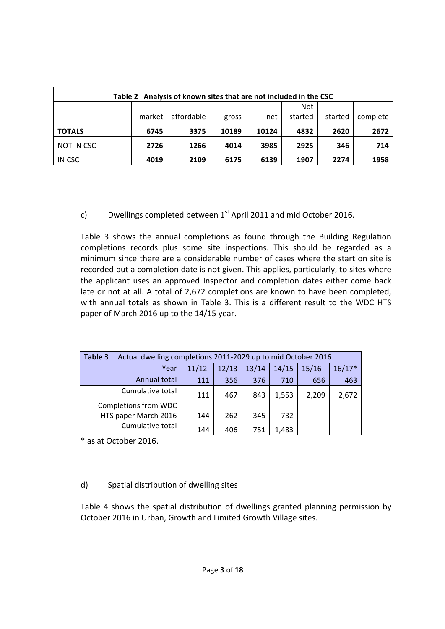| Table 2 Analysis of known sites that are not included in the CSC |        |            |       |       |         |         |          |  |  |
|------------------------------------------------------------------|--------|------------|-------|-------|---------|---------|----------|--|--|
|                                                                  |        |            |       |       | Not     |         |          |  |  |
|                                                                  | market | affordable | gross | net   | started | started | complete |  |  |
| <b>TOTALS</b>                                                    | 6745   | 3375       | 10189 | 10124 | 4832    | 2620    | 2672     |  |  |
| NOT IN CSC                                                       | 2726   | 1266       | 4014  | 3985  | 2925    | 346     | 714      |  |  |
| IN CSC                                                           | 4019   | 2109       | 6175  | 6139  | 1907    | 2274    | 1958     |  |  |

c) Dwellings completed between  $1^{st}$  April 2011 and mid October 2016.

Table 3 shows the annual completions as found through the Building Regulation completions records plus some site inspections. This should be regarded as a minimum since there are a considerable number of cases where the start on site is recorded but a completion date is not given. This applies, particularly, to sites where the applicant uses an approved Inspector and completion dates either come back late or not at all. A total of 2,672 completions are known to have been completed, with annual totals as shown in Table 3. This is a different result to the WDC HTS paper of March 2016 up to the 14/15 year.

| Table 3              | Actual dwelling completions 2011-2029 up to mid October 2016 |       |       |       |       |          |  |  |  |  |
|----------------------|--------------------------------------------------------------|-------|-------|-------|-------|----------|--|--|--|--|
| Year                 | 11/12                                                        | 12/13 | 13/14 | 14/15 | 15/16 | $16/17*$ |  |  |  |  |
| Annual total         | 111                                                          | 356   | 376   | 710   | 656   | 463      |  |  |  |  |
| Cumulative total     | 111                                                          | 467   | 843   | 1,553 | 2,209 | 2,672    |  |  |  |  |
| Completions from WDC |                                                              |       |       |       |       |          |  |  |  |  |
| HTS paper March 2016 | 144                                                          | 262   | 345   | 732   |       |          |  |  |  |  |
| Cumulative total     | 144                                                          | 406   | 751   | 1,483 |       |          |  |  |  |  |

\* as at October 2016.

# d) Spatial distribution of dwelling sites

Table 4 shows the spatial distribution of dwellings granted planning permission by October 2016 in Urban, Growth and Limited Growth Village sites.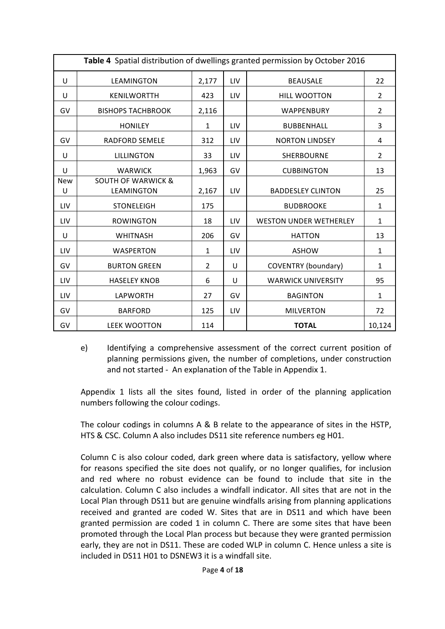|                 | Table 4 Spatial distribution of dwellings granted permission by October 2016 |       |     |                               |                |  |  |  |  |
|-----------------|------------------------------------------------------------------------------|-------|-----|-------------------------------|----------------|--|--|--|--|
| U               | LEAMINGTON                                                                   | 2,177 | LIV | <b>BEAUSALE</b>               | 22             |  |  |  |  |
| U               | <b>KENILWORTTH</b>                                                           | 423   | LIV | <b>HILL WOOTTON</b>           | 2              |  |  |  |  |
| GV              | <b>BISHOPS TACHBROOK</b>                                                     | 2,116 |     | <b>WAPPENBURY</b>             | $\overline{2}$ |  |  |  |  |
|                 | <b>HONILEY</b>                                                               | 1     | LIV | <b>BUBBENHALL</b>             | 3              |  |  |  |  |
| GV              | <b>RADFORD SEMELE</b>                                                        | 312   | LIV | <b>NORTON LINDSEY</b>         | 4              |  |  |  |  |
| U               | <b>LILLINGTON</b>                                                            | 33    | LIV | <b>SHERBOURNE</b>             | 2              |  |  |  |  |
| U               | <b>WARWICK</b>                                                               | 1,963 | GV  | <b>CUBBINGTON</b>             | 13             |  |  |  |  |
| <b>New</b><br>U | <b>SOUTH OF WARWICK &amp;</b><br>LEAMINGTON                                  | 2,167 | LIV | <b>BADDESLEY CLINTON</b>      | 25             |  |  |  |  |
| LIV             | <b>STONELEIGH</b>                                                            | 175   |     | <b>BUDBROOKE</b>              | $\mathbf{1}$   |  |  |  |  |
| LIV             | <b>ROWINGTON</b>                                                             | 18    | LIV | <b>WESTON UNDER WETHERLEY</b> | $\mathbf{1}$   |  |  |  |  |
| U               | <b>WHITNASH</b>                                                              | 206   | GV  | <b>HATTON</b>                 | 13             |  |  |  |  |
| LIV             | <b>WASPERTON</b>                                                             | 1     | LIV | <b>ASHOW</b>                  | $\mathbf{1}$   |  |  |  |  |
| GV              | <b>BURTON GREEN</b>                                                          | 2     | U   | COVENTRY (boundary)           | $\mathbf{1}$   |  |  |  |  |
| LIV             | <b>HASELEY KNOB</b>                                                          | 6     | U   | <b>WARWICK UNIVERSITY</b>     | 95             |  |  |  |  |
| LIV             | <b>LAPWORTH</b>                                                              | 27    | GV  | <b>BAGINTON</b>               | $\mathbf{1}$   |  |  |  |  |
| GV              | <b>BARFORD</b>                                                               | 125   | LIV | <b>MILVERTON</b>              | 72             |  |  |  |  |
| GV              | <b>LEEK WOOTTON</b>                                                          | 114   |     | <b>TOTAL</b>                  | 10,124         |  |  |  |  |

e) Identifying a comprehensive assessment of the correct current position of planning permissions given, the number of completions, under construction and not started - An explanation of the Table in Appendix 1.

Appendix 1 lists all the sites found, listed in order of the planning application numbers following the colour codings.

The colour codings in columns A & B relate to the appearance of sites in the HSTP, HTS & CSC. Column A also includes DS11 site reference numbers eg H01.

Column C is also colour coded, dark green where data is satisfactory, yellow where for reasons specified the site does not qualify, or no longer qualifies, for inclusion and red where no robust evidence can be found to include that site in the calculation. Column C also includes a windfall indicator. All sites that are not in the Local Plan through DS11 but are genuine windfalls arising from planning applications received and granted are coded W. Sites that are in DS11 and which have been granted permission are coded 1 in column C. There are some sites that have been promoted through the Local Plan process but because they were granted permission early, they are not in DS11. These are coded WLP in column C. Hence unless a site is included in DS11 H01 to DSNEW3 it is a windfall site.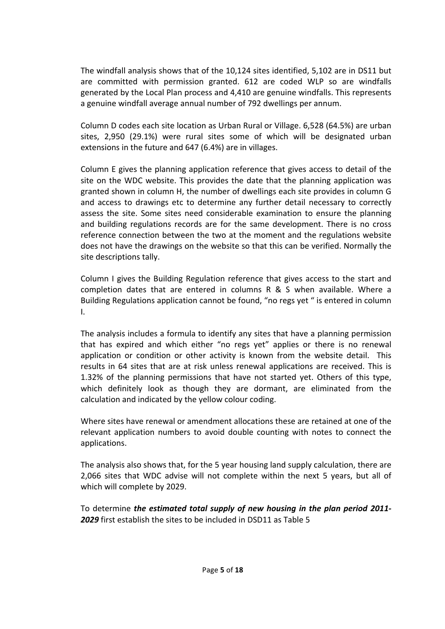The windfall analysis shows that of the 10,124 sites identified, 5,102 are in DS11 but are committed with permission granted. 612 are coded WLP so are windfalls generated by the Local Plan process and 4,410 are genuine windfalls. This represents a genuine windfall average annual number of 792 dwellings per annum.

Column D codes each site location as Urban Rural or Village. 6,528 (64.5%) are urban sites, 2,950 (29.1%) were rural sites some of which will be designated urban extensions in the future and 647 (6.4%) are in villages.

Column E gives the planning application reference that gives access to detail of the site on the WDC website. This provides the date that the planning application was granted shown in column H, the number of dwellings each site provides in column G and access to drawings etc to determine any further detail necessary to correctly assess the site. Some sites need considerable examination to ensure the planning and building regulations records are for the same development. There is no cross reference connection between the two at the moment and the regulations website does not have the drawings on the website so that this can be verified. Normally the site descriptions tally.

Column I gives the Building Regulation reference that gives access to the start and completion dates that are entered in columns  $R$  & S when available. Where a Building Regulations application cannot be found, "no regs yet " is entered in column I. 

The analysis includes a formula to identify any sites that have a planning permission that has expired and which either "no regs yet" applies or there is no renewal application or condition or other activity is known from the website detail. This results in 64 sites that are at risk unless renewal applications are received. This is 1.32% of the planning permissions that have not started yet. Others of this type, which definitely look as though they are dormant, are eliminated from the calculation and indicated by the yellow colour coding.

Where sites have renewal or amendment allocations these are retained at one of the relevant application numbers to avoid double counting with notes to connect the applications.

The analysis also shows that, for the 5 year housing land supply calculation, there are 2,066 sites that WDC advise will not complete within the next 5 years, but all of which will complete by 2029.

To determine *the estimated total supply of new housing in the plan period 2011-***2029** first establish the sites to be included in DSD11 as Table 5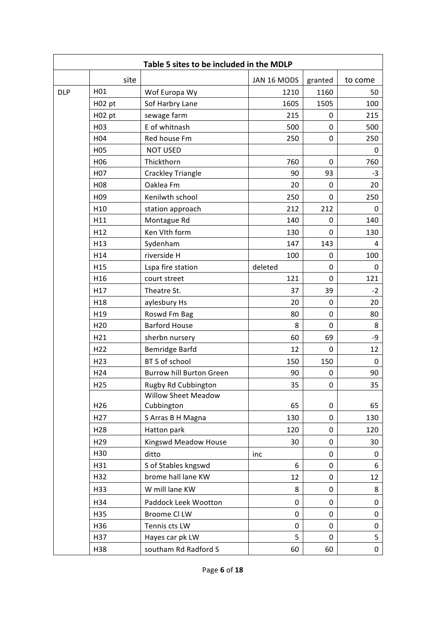|            |                    | Table 5 sites to be included in the MDLP |             |             |          |
|------------|--------------------|------------------------------------------|-------------|-------------|----------|
|            | site               |                                          | JAN 16 MODS | granted     | to come  |
| <b>DLP</b> | H01                | Wof Europa Wy                            | 1210        | 1160        | 50       |
|            | H <sub>02</sub> pt | Sof Harbry Lane                          | 1605        | 1505        | 100      |
|            | H <sub>02</sub> pt | sewage farm                              | 215         | 0           | 215      |
|            | H <sub>0</sub> 3   | E of whitnash                            | 500         | $\mathbf 0$ | 500      |
|            | H04                | Red house Fm                             | 250         | 0           | 250      |
|            | H <sub>05</sub>    | <b>NOT USED</b>                          |             |             | 0        |
|            | H <sub>06</sub>    | Thickthorn                               | 760         | 0           | 760      |
|            | H <sub>0</sub> 7   | <b>Crackley Triangle</b>                 | 90          | 93          | $-3$     |
|            | H <sub>0</sub> 8   | Oaklea Fm                                | 20          | 0           | 20       |
|            | H <sub>09</sub>    | Kenilwth school                          | 250         | 0           | 250      |
|            | H <sub>10</sub>    | station approach                         | 212         | 212         | 0        |
|            | H11                | Montague Rd                              | 140         | 0           | 140      |
|            | H12                | Ken VIth form                            | 130         | 0           | 130      |
|            | H13                | Sydenham                                 | 147         | 143         | 4        |
|            | H14                | riverside H                              | 100         | 0           | 100      |
|            | H15                | Lspa fire station                        | deleted     | $\Omega$    | 0        |
|            | H16                | court street                             | 121         | 0           | 121      |
|            | H17                | Theatre St.                              | 37          | 39          | $-2$     |
|            | H18                | aylesbury Hs                             | 20          | $\mathbf 0$ | 20       |
|            | H19                | Roswd Fm Bag                             | 80          | 0           | 80       |
|            | H <sub>20</sub>    | <b>Barford House</b>                     | 8           | $\Omega$    | 8        |
|            | H21                | sherbn nursery                           | 60          | 69          | -9       |
|            | H22                | Bemridge Barfd                           | 12          | 0           | 12       |
|            | H <sub>23</sub>    | BT S of school                           | 150         | 150         | $\Omega$ |
|            | H <sub>24</sub>    | <b>Burrow hill Burton Green</b>          | 90          | 0           | 90       |
|            | H <sub>25</sub>    | Rugby Rd Cubbington                      | 35          | 0           | 35       |
|            |                    | <b>Willow Sheet Meadow</b>               |             |             |          |
|            | H26                | Cubbington                               | 65          | 0           | 65       |
|            | H <sub>27</sub>    | S Arras B H Magna                        | 130         | 0           | 130      |
|            | H <sub>28</sub>    | Hatton park                              | 120         | 0           | 120      |
|            | H <sub>29</sub>    | <b>Kingswd Meadow House</b>              | 30          | 0           | 30       |
|            | H30                | ditto                                    | inc         | 0           | 0        |
|            | H31                | S of Stables kngswd                      | 6           | 0           | 6        |
|            | H32                | brome hall lane KW                       | 12          | 0           | 12       |
|            | H33                | W mill lane KW                           | 8           | 0           | 8        |
|            | H34                | Paddock Leek Wootton                     | 0           | 0           | 0        |
|            | H35                | <b>Broome CI LW</b>                      | 0           | 0           | 0        |
|            | H36                | Tennis cts LW                            | 0           | 0           | 0        |
|            | H37                | Hayes car pk LW                          | 5           | $\Omega$    | 5        |
|            | H38                | southam Rd Radford S                     | 60          | 60          | 0        |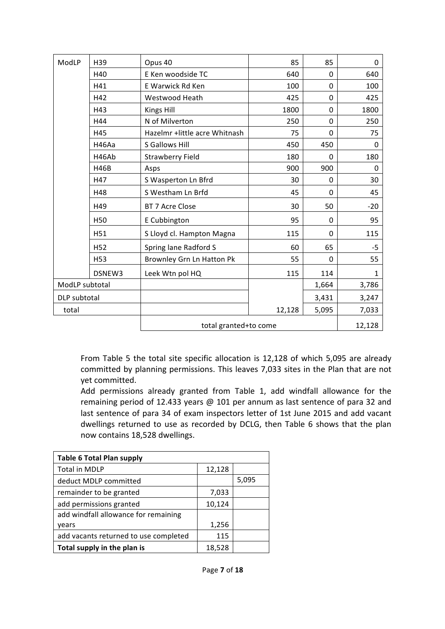| ModLP          | H39             | Opus 40                       | 85     | 85       | $\Omega$     |
|----------------|-----------------|-------------------------------|--------|----------|--------------|
|                | H40             | E Ken woodside TC             | 640    | $\Omega$ | 640          |
|                | H41             | E Warwick Rd Ken              | 100    | $\Omega$ | 100          |
|                | H42             | Westwood Heath                | 425    | $\Omega$ | 425          |
|                | H43             | Kings Hill                    | 1800   | $\Omega$ | 1800         |
|                | H44             | N of Milverton                | 250    | $\Omega$ | 250          |
|                | H45             | Hazelmr +little acre Whitnash | 75     | 0        | 75           |
|                | H46Aa           | <b>S</b> Gallows Hill         | 450    | 450      | $\Omega$     |
|                | H46Ab           | <b>Strawberry Field</b>       | 180    | $\Omega$ | 180          |
|                | <b>H46B</b>     | Asps                          | 900    | 900      | 0            |
|                | H47             | S Wasperton Ln Bfrd           | 30     | $\Omega$ | 30           |
|                | H48             | S Westham Ln Brfd             | 45     | $\Omega$ | 45           |
|                | H49             | <b>BT 7 Acre Close</b>        | 30     | 50       | $-20$        |
|                | H50             | E Cubbington                  | 95     | $\Omega$ | 95           |
|                | H51             | S Lloyd cl. Hampton Magna     | 115    | $\Omega$ | 115          |
|                | H <sub>52</sub> | Spring lane Radford S         | 60     | 65       | -5           |
|                | H <sub>53</sub> | Brownley Grn Ln Hatton Pk     | 55     | 0        | 55           |
|                | DSNEW3          | Leek Wtn pol HQ               | 115    | 114      | $\mathbf{1}$ |
| ModLP subtotal |                 |                               |        | 1,664    | 3,786        |
| DLP subtotal   |                 |                               |        | 3,431    | 3,247        |
| total          |                 |                               | 12,128 | 5,095    | 7,033        |
|                |                 | total granted+to come         |        |          | 12,128       |

From Table 5 the total site specific allocation is 12,128 of which 5,095 are already committed by planning permissions. This leaves 7,033 sites in the Plan that are not yet committed.

Add permissions already granted from Table 1, add windfall allowance for the remaining period of 12.433 years  $@$  101 per annum as last sentence of para 32 and last sentence of para 34 of exam inspectors letter of 1st June 2015 and add vacant dwellings returned to use as recorded by DCLG, then Table 6 shows that the plan now contains 18,528 dwellings.

| <b>Table 6 Total Plan supply</b>      |        |       |  |  |  |  |  |  |
|---------------------------------------|--------|-------|--|--|--|--|--|--|
| <b>Total in MDLP</b>                  | 12,128 |       |  |  |  |  |  |  |
| deduct MDLP committed                 |        | 5,095 |  |  |  |  |  |  |
| remainder to be granted               | 7,033  |       |  |  |  |  |  |  |
| add permissions granted               | 10,124 |       |  |  |  |  |  |  |
| add windfall allowance for remaining  |        |       |  |  |  |  |  |  |
| years                                 | 1,256  |       |  |  |  |  |  |  |
| add vacants returned to use completed | 115    |       |  |  |  |  |  |  |
| Total supply in the plan is           | 18,528 |       |  |  |  |  |  |  |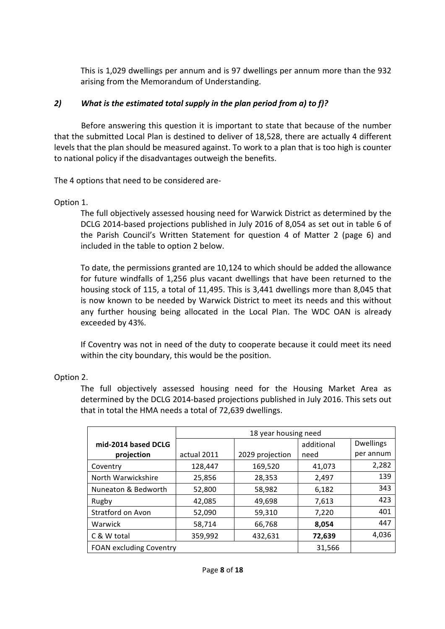This is 1,029 dwellings per annum and is 97 dwellings per annum more than the 932 arising from the Memorandum of Understanding.

#### 2) What is the estimated total supply in the plan period from a) to f)?

Before answering this question it is important to state that because of the number that the submitted Local Plan is destined to deliver of 18,528, there are actually 4 different levels that the plan should be measured against. To work to a plan that is too high is counter to national policy if the disadvantages outweigh the benefits.

The 4 options that need to be considered are-

#### Option 1.

The full objectively assessed housing need for Warwick District as determined by the DCLG 2014-based projections published in July 2016 of 8,054 as set out in table 6 of the Parish Council's Written Statement for question 4 of Matter 2 (page 6) and included in the table to option 2 below.

To date, the permissions granted are 10.124 to which should be added the allowance for future windfalls of 1,256 plus vacant dwellings that have been returned to the housing stock of 115, a total of 11,495. This is 3,441 dwellings more than 8,045 that is now known to be needed by Warwick District to meet its needs and this without any further housing being allocated in the Local Plan. The WDC OAN is already exceeded by 43%.

If Coventry was not in need of the duty to cooperate because it could meet its need within the city boundary, this would be the position.

## Option 2.

The full objectively assessed housing need for the Housing Market Area as determined by the DCLG 2014-based projections published in July 2016. This sets out that in total the HMA needs a total of 72,639 dwellings.

|                                | 18 year housing need |                 |            |                  |  |  |  |
|--------------------------------|----------------------|-----------------|------------|------------------|--|--|--|
| mid-2014 based DCLG            |                      |                 | additional | <b>Dwellings</b> |  |  |  |
| projection                     | actual 2011          | 2029 projection | need       | per annum        |  |  |  |
| Coventry                       | 128,447              | 169,520         | 41,073     | 2,282            |  |  |  |
| North Warwickshire             | 25,856               | 28,353          | 2,497      | 139              |  |  |  |
| Nuneaton & Bedworth            | 52,800               | 58,982          | 6,182      | 343              |  |  |  |
| Rugby                          | 42,085               | 49,698          | 7,613      | 423              |  |  |  |
| Stratford on Avon              | 52,090               | 59,310          | 7,220      | 401              |  |  |  |
| Warwick                        | 58,714               | 66,768          | 8,054      | 447              |  |  |  |
| C & W total                    | 359,992              | 432,631         | 72,639     | 4,036            |  |  |  |
| <b>FOAN excluding Coventry</b> |                      |                 | 31,566     |                  |  |  |  |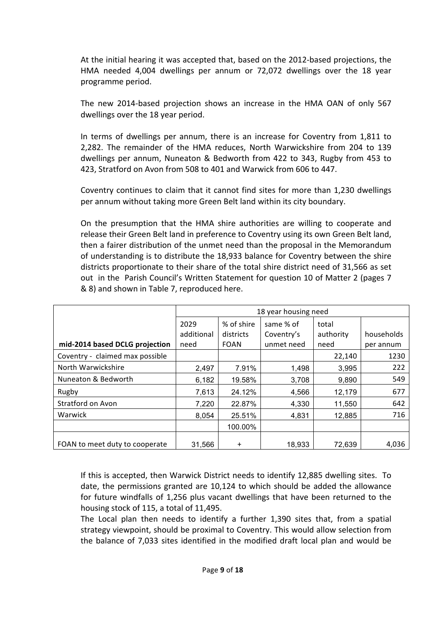At the initial hearing it was accepted that, based on the 2012-based projections, the HMA needed 4,004 dwellings per annum or 72,072 dwellings over the 18 year programme period.

The new 2014-based projection shows an increase in the HMA OAN of only 567 dwellings over the 18 year period.

In terms of dwellings per annum, there is an increase for Coventry from 1,811 to 2,282. The remainder of the HMA reduces, North Warwickshire from 204 to 139 dwellings per annum, Nuneaton & Bedworth from 422 to 343, Rugby from 453 to 423, Stratford on Avon from 508 to 401 and Warwick from 606 to 447.

Coventry continues to claim that it cannot find sites for more than 1,230 dwellings per annum without taking more Green Belt land within its city boundary.

On the presumption that the HMA shire authorities are willing to cooperate and release their Green Belt land in preference to Coventry using its own Green Belt land, then a fairer distribution of the unmet need than the proposal in the Memorandum of understanding is to distribute the 18,933 balance for Coventry between the shire districts proportionate to their share of the total shire district need of 31,566 as set out in the Parish Council's Written Statement for question 10 of Matter 2 (pages 7 & 8) and shown in Table 7, reproduced here.

|                                 | 18 year housing need |             |            |           |            |  |  |
|---------------------------------|----------------------|-------------|------------|-----------|------------|--|--|
|                                 | 2029                 | % of shire  | same % of  | total     |            |  |  |
|                                 | additional           | districts   | Coventry's | authority | households |  |  |
| mid-2014 based DCLG projection  | need                 | <b>FOAN</b> | unmet need | need      | per annum  |  |  |
| Coventry - claimed max possible |                      |             |            | 22,140    | 1230       |  |  |
| North Warwickshire              | 2,497                | 7.91%       | 1,498      | 3,995     | 222        |  |  |
| Nuneaton & Bedworth             | 6,182                | 19.58%      | 3,708      | 9,890     | 549        |  |  |
| Rugby                           | 7,613                | 24.12%      | 4,566      | 12,179    | 677        |  |  |
| Stratford on Avon               | 7,220                | 22.87%      | 4,330      | 11,550    | 642        |  |  |
| Warwick                         | 8,054                | 25.51%      | 4,831      | 12,885    | 716        |  |  |
|                                 |                      | 100.00%     |            |           |            |  |  |
| FOAN to meet duty to cooperate  | 31,566               | $\ddot{}$   | 18,933     | 72,639    | 4,036      |  |  |

If this is accepted, then Warwick District needs to identify 12,885 dwelling sites. To date, the permissions granted are  $10,124$  to which should be added the allowance for future windfalls of 1,256 plus vacant dwellings that have been returned to the housing stock of 115, a total of 11,495.

The Local plan then needs to identify a further  $1,390$  sites that, from a spatial strategy viewpoint, should be proximal to Coventry. This would allow selection from the balance of 7,033 sites identified in the modified draft local plan and would be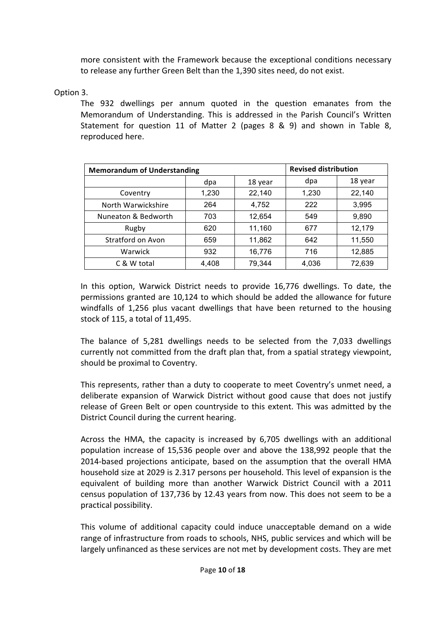more consistent with the Framework because the exceptional conditions necessary to release any further Green Belt than the 1,390 sites need, do not exist.

#### Option 3.

The 932 dwellings per annum quoted in the question emanates from the Memorandum of Understanding. This is addressed in the Parish Council's Written Statement for question 11 of Matter 2 (pages  $8 \& 9$ ) and shown in Table 8, reproduced here.

| <b>Memorandum of Understanding</b> | <b>Revised distribution</b> |         |       |         |
|------------------------------------|-----------------------------|---------|-------|---------|
|                                    | dpa                         | 18 year | dpa   | 18 year |
| Coventry                           | 1,230                       | 22,140  | 1,230 | 22,140  |
| North Warwickshire                 | 264                         | 4,752   | 222   | 3,995   |
| Nuneaton & Bedworth                | 703                         | 12,654  | 549   | 9,890   |
| Rugby                              | 620                         | 11,160  | 677   | 12,179  |
| Stratford on Avon                  | 659                         | 11,862  | 642   | 11,550  |
| Warwick                            | 932                         | 16,776  | 716   | 12,885  |
| C & W total                        | 4,408                       | 79,344  | 4,036 | 72,639  |

In this option, Warwick District needs to provide 16,776 dwellings. To date, the permissions granted are 10,124 to which should be added the allowance for future windfalls of 1,256 plus vacant dwellings that have been returned to the housing stock of 115, a total of 11,495.

The balance of  $5,281$  dwellings needs to be selected from the  $7,033$  dwellings currently not committed from the draft plan that, from a spatial strategy viewpoint, should be proximal to Coventry.

This represents, rather than a duty to cooperate to meet Coventry's unmet need, a deliberate expansion of Warwick District without good cause that does not justify release of Green Belt or open countryside to this extent. This was admitted by the District Council during the current hearing.

Across the HMA, the capacity is increased by  $6,705$  dwellings with an additional population increase of 15,536 people over and above the 138,992 people that the 2014-based projections anticipate, based on the assumption that the overall HMA household size at 2029 is 2.317 persons per household. This level of expansion is the equivalent of building more than another Warwick District Council with a 2011 census population of 137,736 by 12.43 years from now. This does not seem to be a practical possibility.

This volume of additional capacity could induce unacceptable demand on a wide range of infrastructure from roads to schools, NHS, public services and which will be largely unfinanced as these services are not met by development costs. They are met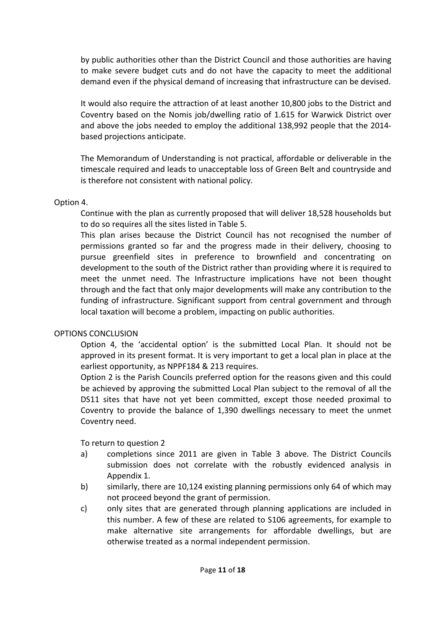by public authorities other than the District Council and those authorities are having to make severe budget cuts and do not have the capacity to meet the additional demand even if the physical demand of increasing that infrastructure can be devised.

It would also require the attraction of at least another 10,800 jobs to the District and Coventry based on the Nomis job/dwelling ratio of 1.615 for Warwick District over and above the jobs needed to employ the additional 138,992 people that the 2014based projections anticipate.

The Memorandum of Understanding is not practical, affordable or deliverable in the timescale required and leads to unacceptable loss of Green Belt and countryside and is therefore not consistent with national policy.

#### Option 4.

Continue with the plan as currently proposed that will deliver 18,528 households but to do so requires all the sites listed in Table 5.

This plan arises because the District Council has not recognised the number of permissions granted so far and the progress made in their delivery, choosing to pursue greenfield sites in preference to brownfield and concentrating on development to the south of the District rather than providing where it is required to meet the unmet need. The Infrastructure implications have not been thought through and the fact that only major developments will make any contribution to the funding of infrastructure. Significant support from central government and through local taxation will become a problem, impacting on public authorities.

#### OPTIONS CONCLUSION

Option 4, the 'accidental option' is the submitted Local Plan. It should not be approved in its present format. It is very important to get a local plan in place at the earliest opportunity, as NPPF184 & 213 requires.

Option 2 is the Parish Councils preferred option for the reasons given and this could be achieved by approving the submitted Local Plan subject to the removal of all the DS11 sites that have not yet been committed, except those needed proximal to Coventry to provide the balance of 1,390 dwellings necessary to meet the unmet Coventry need.

To return to question 2

- a) completions since 2011 are given in Table 3 above. The District Councils submission does not correlate with the robustly evidenced analysis in Appendix 1.
- b) similarly, there are 10,124 existing planning permissions only 64 of which may not proceed beyond the grant of permission.
- c) only sites that are generated through planning applications are included in this number. A few of these are related to S106 agreements, for example to make alternative site arrangements for affordable dwellings, but are otherwise treated as a normal independent permission.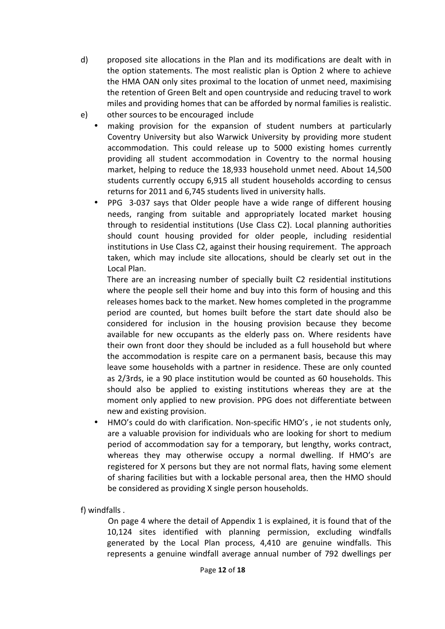- d) proposed site allocations in the Plan and its modifications are dealt with in the option statements. The most realistic plan is Option 2 where to achieve the HMA OAN only sites proximal to the location of unmet need, maximising the retention of Green Belt and open countryside and reducing travel to work miles and providing homes that can be afforded by normal families is realistic.
- e) other sources to be encouraged include
	- making provision for the expansion of student numbers at particularly Coventry University but also Warwick University by providing more student accommodation. This could release up to 5000 existing homes currently providing all student accommodation in Coventry to the normal housing market, helping to reduce the 18,933 household unmet need. About 14,500 students currently occupy 6,915 all student households according to census returns for 2011 and 6,745 students lived in university halls.
		- PPG 3-037 says that Older people have a wide range of different housing needs, ranging from suitable and appropriately located market housing through to residential institutions (Use Class C2). Local planning authorities should count housing provided for older people, including residential institutions in Use Class C2, against their housing requirement. The approach taken, which may include site allocations, should be clearly set out in the Local Plan.

There are an increasing number of specially built C2 residential institutions where the people sell their home and buy into this form of housing and this releases homes back to the market. New homes completed in the programme period are counted, but homes built before the start date should also be considered for inclusion in the housing provision because they become available for new occupants as the elderly pass on. Where residents have their own front door they should be included as a full household but where the accommodation is respite care on a permanent basis, because this may leave some households with a partner in residence. These are only counted as 2/3rds, ie a 90 place institution would be counted as 60 households. This should also be applied to existing institutions whereas they are at the moment only applied to new provision. PPG does not differentiate between new and existing provision.

HMO's could do with clarification. Non-specific HMO's, ie not students only, are a valuable provision for individuals who are looking for short to medium period of accommodation say for a temporary, but lengthy, works contract, whereas they may otherwise occupy a normal dwelling. If HMO's are registered for X persons but they are not normal flats, having some element of sharing facilities but with a lockable personal area, then the HMO should be considered as providing X single person households.

f) windfalls.

On page 4 where the detail of Appendix 1 is explained, it is found that of the 10,124 sites identified with planning permission, excluding windfalls generated by the Local Plan process, 4,410 are genuine windfalls. This represents a genuine windfall average annual number of 792 dwellings per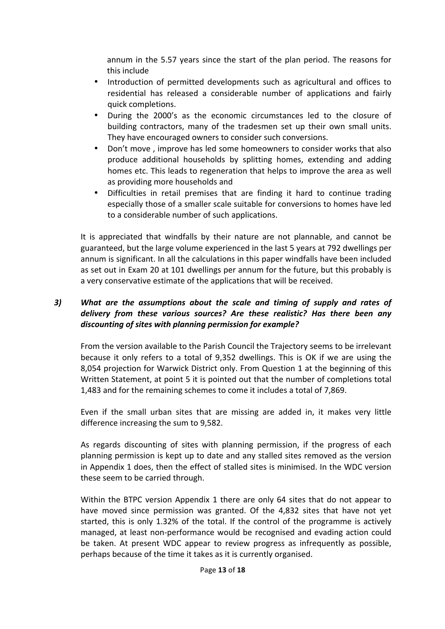annum in the 5.57 years since the start of the plan period. The reasons for this include

- Introduction of permitted developments such as agricultural and offices to residential has released a considerable number of applications and fairly quick completions.
- During the 2000's as the economic circumstances led to the closure of building contractors, many of the tradesmen set up their own small units. They have encouraged owners to consider such conversions.
- Don't move, improve has led some homeowners to consider works that also produce additional households by splitting homes, extending and adding homes etc. This leads to regeneration that helps to improve the area as well as providing more households and
- Difficulties in retail premises that are finding it hard to continue trading especially those of a smaller scale suitable for conversions to homes have led to a considerable number of such applications.

It is appreciated that windfalls by their nature are not plannable, and cannot be guaranteed, but the large volume experienced in the last 5 years at 792 dwellings per annum is significant. In all the calculations in this paper windfalls have been included as set out in Exam 20 at 101 dwellings per annum for the future, but this probably is a very conservative estimate of the applications that will be received.

# 3) What are the assumptions about the scale and timing of supply and rates of delivery from these various sources? Are these realistic? Has there been any *discounting of sites with planning permission for example?*

From the version available to the Parish Council the Trajectory seems to be irrelevant because it only refers to a total of 9,352 dwellings. This is OK if we are using the 8,054 projection for Warwick District only. From Question 1 at the beginning of this Written Statement, at point 5 it is pointed out that the number of completions total 1,483 and for the remaining schemes to come it includes a total of 7,869.

Even if the small urban sites that are missing are added in, it makes very little difference increasing the sum to 9,582.

As regards discounting of sites with planning permission, if the progress of each planning permission is kept up to date and any stalled sites removed as the version in Appendix 1 does, then the effect of stalled sites is minimised. In the WDC version these seem to be carried through.

Within the BTPC version Appendix 1 there are only  $64$  sites that do not appear to have moved since permission was granted. Of the 4,832 sites that have not yet started, this is only 1.32% of the total. If the control of the programme is actively managed, at least non-performance would be recognised and evading action could be taken. At present WDC appear to review progress as infrequently as possible, perhaps because of the time it takes as it is currently organised.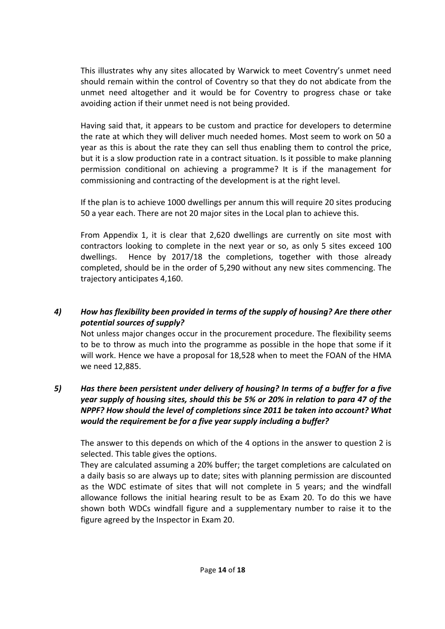This illustrates why any sites allocated by Warwick to meet Coventry's unmet need should remain within the control of Coventry so that they do not abdicate from the unmet need altogether and it would be for Coventry to progress chase or take avoiding action if their unmet need is not being provided.

Having said that, it appears to be custom and practice for developers to determine the rate at which they will deliver much needed homes. Most seem to work on 50 a year as this is about the rate they can sell thus enabling them to control the price, but it is a slow production rate in a contract situation. Is it possible to make planning permission conditional on achieving a programme? It is if the management for commissioning and contracting of the development is at the right level.

If the plan is to achieve 1000 dwellings per annum this will require 20 sites producing 50 a year each. There are not 20 major sites in the Local plan to achieve this.

From Appendix 1, it is clear that 2,620 dwellings are currently on site most with contractors looking to complete in the next year or so, as only 5 sites exceed 100 dwellings. Hence by 2017/18 the completions, together with those already completed, should be in the order of 5,290 without any new sites commencing. The trajectory anticipates 4,160.

## 4) How has flexibility been provided in terms of the supply of housing? Are there other *potential sources of supply?*

Not unless major changes occur in the procurement procedure. The flexibility seems to be to throw as much into the programme as possible in the hope that some if it will work. Hence we have a proposal for 18,528 when to meet the FOAN of the HMA we need 12,885.

### *5)* Has there been persistent under delivery of housing? In terms of a buffer for a five *year supply of housing sites, should this be 5% or 20% in relation to para 47 of the NPPF?* How should the level of completions since 2011 be taken into account? What *would the requirement be for a five year supply including a buffer?*

The answer to this depends on which of the 4 options in the answer to question 2 is selected. This table gives the options.

They are calculated assuming a 20% buffer; the target completions are calculated on a daily basis so are always up to date; sites with planning permission are discounted as the WDC estimate of sites that will not complete in 5 years; and the windfall allowance follows the initial hearing result to be as Exam 20. To do this we have shown both WDCs windfall figure and a supplementary number to raise it to the figure agreed by the Inspector in Exam 20.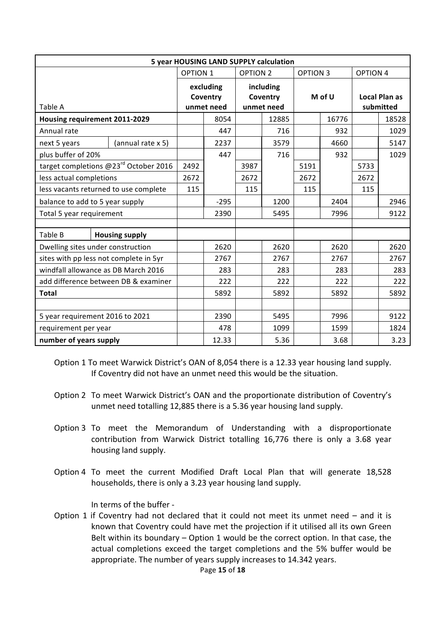| 5 year HOUSING LAND SUPPLY calculation |                                        |          |                       |                 |                       |                 |       |                      |           |
|----------------------------------------|----------------------------------------|----------|-----------------------|-----------------|-----------------------|-----------------|-------|----------------------|-----------|
|                                        |                                        | OPTION 1 |                       | <b>OPTION 2</b> |                       | <b>OPTION 3</b> |       | <b>OPTION 4</b>      |           |
|                                        |                                        |          | excluding<br>Coventry |                 | including<br>Coventry | M of U          |       | <b>Local Plan as</b> |           |
| Table A                                |                                        |          | unmet need            |                 | unmet need            |                 |       |                      | submitted |
|                                        | Housing requirement 2011-2029          |          | 8054                  |                 | 12885                 |                 | 16776 |                      | 18528     |
| Annual rate                            |                                        |          | 447                   |                 | 716                   |                 | 932   |                      | 1029      |
| next 5 years                           | (annual rate x 5)                      |          | 2237                  |                 | 3579                  |                 | 4660  |                      | 5147      |
| plus buffer of 20%                     |                                        |          | 447                   |                 | 716                   |                 | 932   |                      | 1029      |
|                                        | target completions @23rd October 2016  | 2492     |                       | 3987            |                       | 5191            |       | 5733                 |           |
| less actual completions                |                                        | 2672     |                       | 2672            |                       | 2672            |       | 2672                 |           |
|                                        | less vacants returned to use complete  | 115      |                       | 115             |                       | 115             |       | 115                  |           |
|                                        | balance to add to 5 year supply        |          | $-295$                |                 | 1200                  |                 | 2404  |                      | 2946      |
| Total 5 year requirement               |                                        |          | 2390                  |                 | 5495                  |                 | 7996  |                      | 9122      |
|                                        |                                        |          |                       |                 |                       |                 |       |                      |           |
| Table B                                | <b>Housing supply</b>                  |          |                       |                 |                       |                 |       |                      |           |
|                                        | Dwelling sites under construction      |          | 2620                  |                 | 2620                  |                 | 2620  |                      | 2620      |
|                                        | sites with pp less not complete in 5yr |          | 2767                  |                 | 2767                  |                 | 2767  |                      | 2767      |
|                                        | windfall allowance as DB March 2016    |          | 283                   |                 | 283                   |                 | 283   |                      | 283       |
|                                        | add difference between DB & examiner   |          | 222                   |                 | 222                   |                 | 222   |                      | 222       |
| Total                                  |                                        |          | 5892                  |                 | 5892                  |                 | 5892  |                      | 5892      |
|                                        |                                        |          |                       |                 |                       |                 |       |                      |           |
| 5 year requirement 2016 to 2021        |                                        |          | 2390                  |                 | 5495                  |                 | 7996  |                      | 9122      |
| requirement per year                   |                                        |          | 478                   |                 | 1099                  |                 | 1599  |                      | 1824      |
| number of years supply                 |                                        |          | 12.33                 |                 | 5.36                  |                 | 3.68  |                      | 3.23      |

- Option 1 To meet Warwick District's OAN of 8,054 there is a 12.33 year housing land supply. If Coventry did not have an unmet need this would be the situation.
- Option 2 To meet Warwick District's OAN and the proportionate distribution of Coventry's unmet need totalling 12,885 there is a 5.36 year housing land supply.
- Option 3 To meet the Memorandum of Understanding with a disproportionate contribution from Warwick District totalling 16,776 there is only a 3.68 year housing land supply.
- Option 4 To meet the current Modified Draft Local Plan that will generate 18,528 households, there is only a 3.23 year housing land supply.

In terms of the buffer -

Option 1 if Coventry had not declared that it could not meet its unmet need  $-$  and it is known that Coventry could have met the projection if it utilised all its own Green Belt within its boundary  $-$  Option 1 would be the correct option. In that case, the actual completions exceed the target completions and the 5% buffer would be appropriate. The number of years supply increases to 14.342 years.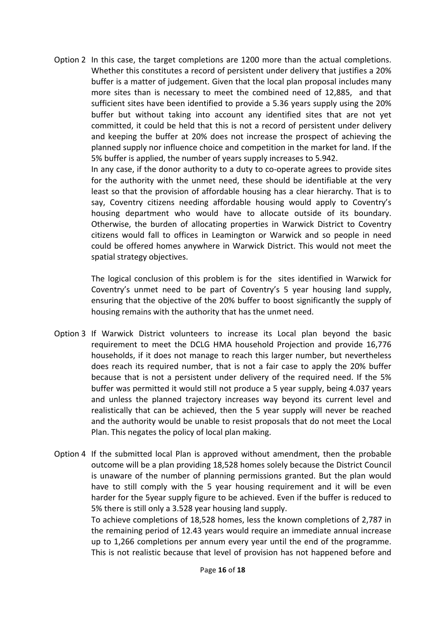Option 2 In this case, the target completions are 1200 more than the actual completions. Whether this constitutes a record of persistent under delivery that justifies a 20% buffer is a matter of judgement. Given that the local plan proposal includes many more sites than is necessary to meet the combined need of 12,885, and that sufficient sites have been identified to provide a 5.36 years supply using the 20% buffer but without taking into account any identified sites that are not yet committed, it could be held that this is not a record of persistent under delivery and keeping the buffer at 20% does not increase the prospect of achieving the planned supply nor influence choice and competition in the market for land. If the 5% buffer is applied, the number of years supply increases to 5.942.

> In any case, if the donor authority to a duty to co-operate agrees to provide sites for the authority with the unmet need, these should be identifiable at the very least so that the provision of affordable housing has a clear hierarchy. That is to say, Coventry citizens needing affordable housing would apply to Coventry's housing department who would have to allocate outside of its boundary. Otherwise, the burden of allocating properties in Warwick District to Coventry citizens would fall to offices in Leamington or Warwick and so people in need could be offered homes anywhere in Warwick District. This would not meet the spatial strategy objectives.

> The logical conclusion of this problem is for the sites identified in Warwick for Coventry's unmet need to be part of Coventry's 5 year housing land supply, ensuring that the objective of the 20% buffer to boost significantly the supply of housing remains with the authority that has the unmet need.

- Option 3 If Warwick District volunteers to increase its Local plan beyond the basic requirement to meet the DCLG HMA household Projection and provide 16,776 households, if it does not manage to reach this larger number, but nevertheless does reach its required number, that is not a fair case to apply the 20% buffer because that is not a persistent under delivery of the required need. If the 5% buffer was permitted it would still not produce a 5 year supply, being 4.037 years and unless the planned trajectory increases way beyond its current level and realistically that can be achieved, then the 5 year supply will never be reached and the authority would be unable to resist proposals that do not meet the Local Plan. This negates the policy of local plan making.
- Option 4 If the submitted local Plan is approved without amendment, then the probable outcome will be a plan providing 18,528 homes solely because the District Council is unaware of the number of planning permissions granted. But the plan would have to still comply with the 5 year housing requirement and it will be even harder for the 5year supply figure to be achieved. Even if the buffer is reduced to 5% there is still only a 3.528 year housing land supply.

To achieve completions of 18,528 homes, less the known completions of 2,787 in the remaining period of 12.43 years would require an immediate annual increase up to 1,266 completions per annum every year until the end of the programme. This is not realistic because that level of provision has not happened before and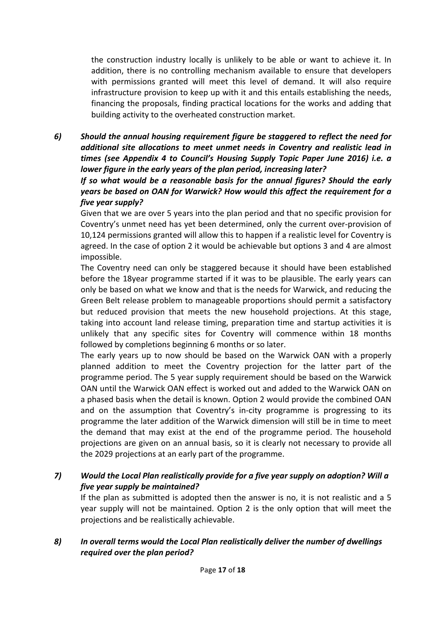the construction industry locally is unlikely to be able or want to achieve it. In addition, there is no controlling mechanism available to ensure that developers with permissions granted will meet this level of demand. It will also require infrastructure provision to keep up with it and this entails establishing the needs, financing the proposals, finding practical locations for the works and adding that building activity to the overheated construction market.

*6)* Should the annual housing requirement figure be staggered to reflect the need for *additional site allocations to meet unmet needs in Coventry and realistic lead in times* (see Appendix 4 to Council's Housing Supply Topic Paper June 2016) i.e. a *lower figure in the early years of the plan period, increasing later?* 

*If* so what would be a reasonable basis for the annual figures? Should the early *years* be based on OAN for Warwick? How would this affect the requirement for a five year supply?

Given that we are over 5 years into the plan period and that no specific provision for Coventry's unmet need has yet been determined, only the current over-provision of 10,124 permissions granted will allow this to happen if a realistic level for Coventry is agreed. In the case of option 2 it would be achievable but options 3 and 4 are almost impossible.

The Coventry need can only be staggered because it should have been established before the 18year programme started if it was to be plausible. The early years can only be based on what we know and that is the needs for Warwick, and reducing the Green Belt release problem to manageable proportions should permit a satisfactory but reduced provision that meets the new household projections. At this stage, taking into account land release timing, preparation time and startup activities it is unlikely that any specific sites for Coventry will commence within 18 months followed by completions beginning 6 months or so later.

The early years up to now should be based on the Warwick OAN with a properly planned addition to meet the Coventry projection for the latter part of the programme period. The 5 year supply requirement should be based on the Warwick OAN until the Warwick OAN effect is worked out and added to the Warwick OAN on a phased basis when the detail is known. Option 2 would provide the combined OAN and on the assumption that Coventry's in-city programme is progressing to its programme the later addition of the Warwick dimension will still be in time to meet the demand that may exist at the end of the programme period. The household projections are given on an annual basis, so it is clearly not necessary to provide all the 2029 projections at an early part of the programme.

## *7*) Would the Local Plan realistically provide for a five year supply on adoption? Will a *five year supply be maintained?*

If the plan as submitted is adopted then the answer is no, it is not realistic and a 5 year supply will not be maintained. Option 2 is the only option that will meet the projections and be realistically achievable.

## 8) In overall terms would the Local Plan realistically deliver the number of dwellings *required over the plan period?*